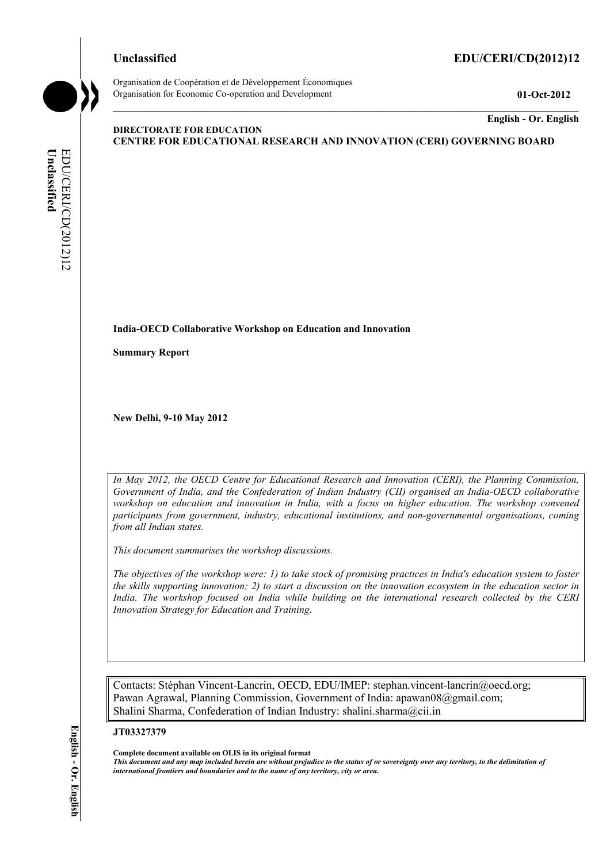#### **Unclassified EDU/CERI/CD(2012)12**



Organisation de Coopération et de Développement Économiques Organisation for Economic Co-operation and Development **01-Oct-2012** 

**English - Or. English** 

#### **DIRECTORATE FOR EDUCATION CENTRE FOR EDUCATIONAL RESEARCH AND INNOVATION (CERI) GOVERNING BOARD**

### **India-OECD Collaborative Workshop on Education and Innovation**

**Summary Report** 

**New Delhi, 9-10 May 2012** 

*In May 2012, the OECD Centre for Educational Research and Innovation (CERI), the Planning Commission, Government of India, and the Confederation of Indian Industry (CII) organised an India-OECD collaborative workshop on education and innovation in India, with a focus on higher education. The workshop convened participants from government, industry, educational institutions, and non-governmental organisations, coming from all Indian states.* 

*This document summarises the workshop discussions.* 

*The objectives of the workshop were: 1) to take stock of promising practices in India's education system to foster the skills supporting innovation; 2) to start a discussion on the innovation ecosystem in the education sector in India. The workshop focused on India while building on the international research collected by the CERI Innovation Strategy for Education and Training.* 

Contacts: Stéphan Vincent-Lancrin, OECD, EDU/IMEP: stephan.vincent-lancrin@oecd.org; Pawan Agrawal, Planning Commission, Government of India: apawan08@gmail.com; Shalini Sharma, Confederation of Indian Industry: shalini.sharma@cii.in

**JT03327379** 

**Complete document available on OLIS in its original format**

*This document and any map included herein are without prejudice to the status of or sovereignty over any territory, to the delimitation of international frontiers and boundaries and to the name of any territory, city or area.* 

English - Or. English **English - Or. English**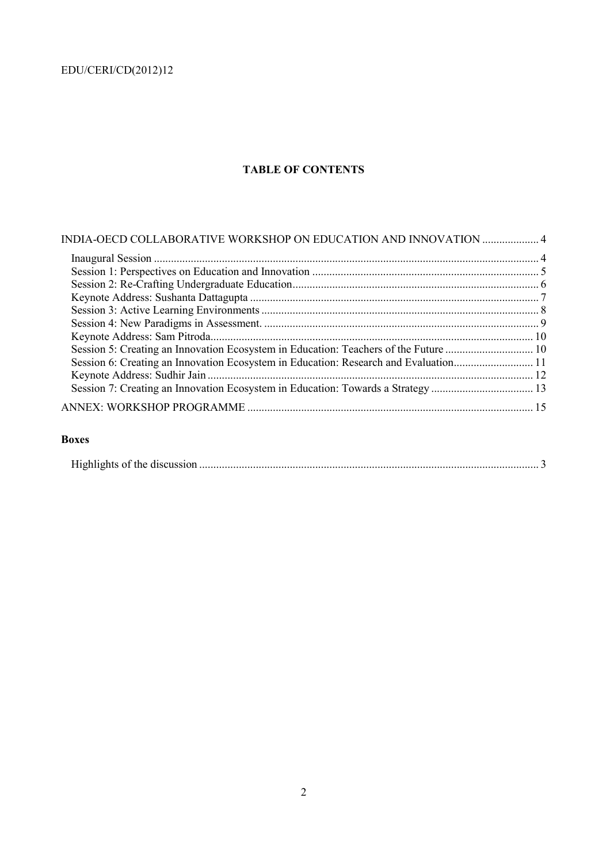## **TABLE OF CONTENTS**

| INDIA-OECD COLLABORATIVE WORKSHOP ON EDUCATION AND INNOVATION  4                     |  |
|--------------------------------------------------------------------------------------|--|
|                                                                                      |  |
|                                                                                      |  |
|                                                                                      |  |
|                                                                                      |  |
|                                                                                      |  |
|                                                                                      |  |
|                                                                                      |  |
| Session 5: Creating an Innovation Ecosystem in Education: Teachers of the Future  10 |  |
| Session 6: Creating an Innovation Ecosystem in Education: Research and Evaluation11  |  |
|                                                                                      |  |
|                                                                                      |  |
|                                                                                      |  |
|                                                                                      |  |

### **Boxes**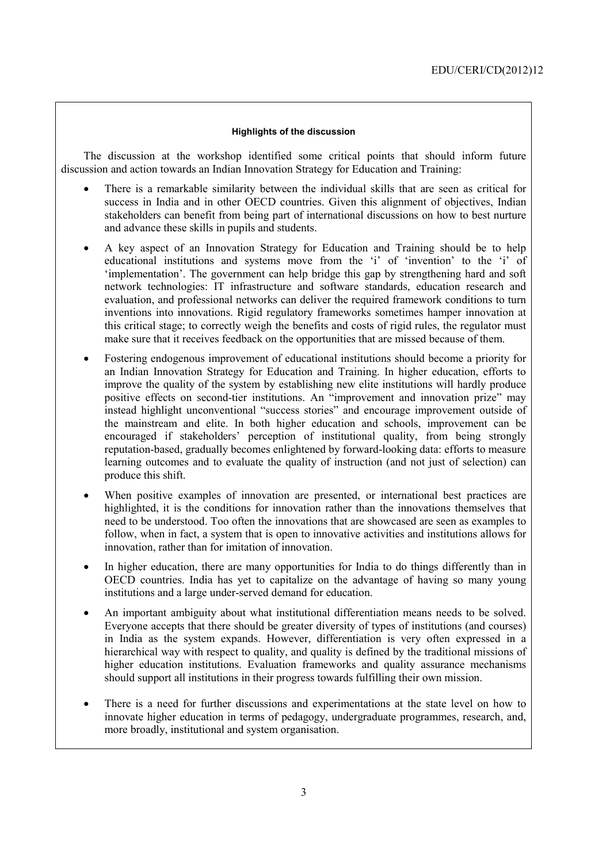#### **Highlights of the discussion**

The discussion at the workshop identified some critical points that should inform future discussion and action towards an Indian Innovation Strategy for Education and Training:

- There is a remarkable similarity between the individual skills that are seen as critical for success in India and in other OECD countries. Given this alignment of objectives, Indian stakeholders can benefit from being part of international discussions on how to best nurture and advance these skills in pupils and students.
- A key aspect of an Innovation Strategy for Education and Training should be to help educational institutions and systems move from the 'i' of 'invention' to the 'i' of 'implementation'. The government can help bridge this gap by strengthening hard and soft network technologies: IT infrastructure and software standards, education research and evaluation, and professional networks can deliver the required framework conditions to turn inventions into innovations. Rigid regulatory frameworks sometimes hamper innovation at this critical stage; to correctly weigh the benefits and costs of rigid rules, the regulator must make sure that it receives feedback on the opportunities that are missed because of them.
- Fostering endogenous improvement of educational institutions should become a priority for an Indian Innovation Strategy for Education and Training. In higher education, efforts to improve the quality of the system by establishing new elite institutions will hardly produce positive effects on second-tier institutions. An "improvement and innovation prize" may instead highlight unconventional "success stories" and encourage improvement outside of the mainstream and elite. In both higher education and schools, improvement can be encouraged if stakeholders' perception of institutional quality, from being strongly reputation-based, gradually becomes enlightened by forward-looking data: efforts to measure learning outcomes and to evaluate the quality of instruction (and not just of selection) can produce this shift.
- When positive examples of innovation are presented, or international best practices are highlighted, it is the conditions for innovation rather than the innovations themselves that need to be understood. Too often the innovations that are showcased are seen as examples to follow, when in fact, a system that is open to innovative activities and institutions allows for innovation, rather than for imitation of innovation.
- In higher education, there are many opportunities for India to do things differently than in OECD countries. India has yet to capitalize on the advantage of having so many young institutions and a large under-served demand for education.
- An important ambiguity about what institutional differentiation means needs to be solved. Everyone accepts that there should be greater diversity of types of institutions (and courses) in India as the system expands. However, differentiation is very often expressed in a hierarchical way with respect to quality, and quality is defined by the traditional missions of higher education institutions. Evaluation frameworks and quality assurance mechanisms should support all institutions in their progress towards fulfilling their own mission.
- There is a need for further discussions and experimentations at the state level on how to innovate higher education in terms of pedagogy, undergraduate programmes, research, and, more broadly, institutional and system organisation.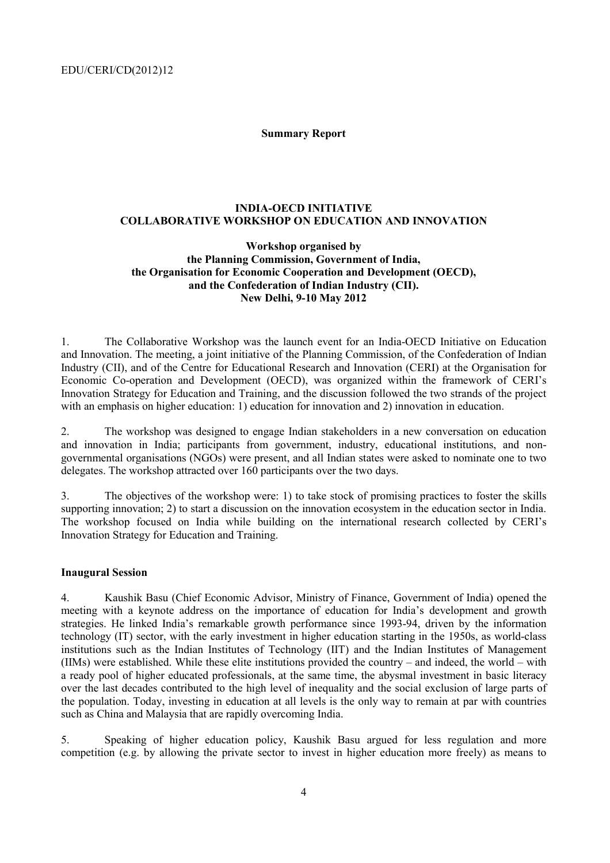**Summary Report** 

#### **INDIA-OECD INITIATIVE COLLABORATIVE WORKSHOP ON EDUCATION AND INNOVATION**

#### **Workshop organised by the Planning Commission, Government of India, the Organisation for Economic Cooperation and Development (OECD), and the Confederation of Indian Industry (CII). New Delhi, 9-10 May 2012**

1. The Collaborative Workshop was the launch event for an India-OECD Initiative on Education and Innovation. The meeting, a joint initiative of the Planning Commission, of the Confederation of Indian Industry (CII), and of the Centre for Educational Research and Innovation (CERI) at the Organisation for Economic Co-operation and Development (OECD), was organized within the framework of CERI's Innovation Strategy for Education and Training, and the discussion followed the two strands of the project with an emphasis on higher education: 1) education for innovation and 2) innovation in education.

2. The workshop was designed to engage Indian stakeholders in a new conversation on education and innovation in India; participants from government, industry, educational institutions, and nongovernmental organisations (NGOs) were present, and all Indian states were asked to nominate one to two delegates. The workshop attracted over 160 participants over the two days.

3. The objectives of the workshop were: 1) to take stock of promising practices to foster the skills supporting innovation; 2) to start a discussion on the innovation ecosystem in the education sector in India. The workshop focused on India while building on the international research collected by CERI's Innovation Strategy for Education and Training.

#### **Inaugural Session**

4. Kaushik Basu (Chief Economic Advisor, Ministry of Finance, Government of India) opened the meeting with a keynote address on the importance of education for India's development and growth strategies. He linked India's remarkable growth performance since 1993-94, driven by the information technology (IT) sector, with the early investment in higher education starting in the 1950s, as world-class institutions such as the Indian Institutes of Technology (IIT) and the Indian Institutes of Management (IIMs) were established. While these elite institutions provided the country – and indeed, the world – with a ready pool of higher educated professionals, at the same time, the abysmal investment in basic literacy over the last decades contributed to the high level of inequality and the social exclusion of large parts of the population. Today, investing in education at all levels is the only way to remain at par with countries such as China and Malaysia that are rapidly overcoming India.

5. Speaking of higher education policy, Kaushik Basu argued for less regulation and more competition (e.g. by allowing the private sector to invest in higher education more freely) as means to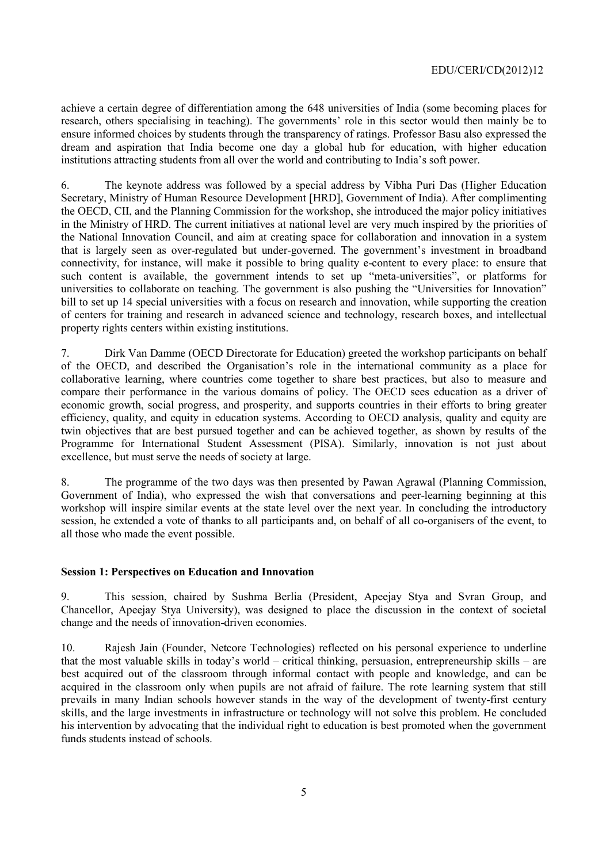achieve a certain degree of differentiation among the 648 universities of India (some becoming places for research, others specialising in teaching). The governments' role in this sector would then mainly be to ensure informed choices by students through the transparency of ratings. Professor Basu also expressed the dream and aspiration that India become one day a global hub for education, with higher education institutions attracting students from all over the world and contributing to India's soft power.

6. The keynote address was followed by a special address by Vibha Puri Das (Higher Education Secretary, Ministry of Human Resource Development [HRD], Government of India). After complimenting the OECD, CII, and the Planning Commission for the workshop, she introduced the major policy initiatives in the Ministry of HRD. The current initiatives at national level are very much inspired by the priorities of the National Innovation Council, and aim at creating space for collaboration and innovation in a system that is largely seen as over-regulated but under-governed. The government's investment in broadband connectivity, for instance, will make it possible to bring quality e-content to every place: to ensure that such content is available, the government intends to set up "meta-universities", or platforms for universities to collaborate on teaching. The government is also pushing the "Universities for Innovation" bill to set up 14 special universities with a focus on research and innovation, while supporting the creation of centers for training and research in advanced science and technology, research boxes, and intellectual property rights centers within existing institutions.

7. Dirk Van Damme (OECD Directorate for Education) greeted the workshop participants on behalf of the OECD, and described the Organisation's role in the international community as a place for collaborative learning, where countries come together to share best practices, but also to measure and compare their performance in the various domains of policy. The OECD sees education as a driver of economic growth, social progress, and prosperity, and supports countries in their efforts to bring greater efficiency, quality, and equity in education systems. According to OECD analysis, quality and equity are twin objectives that are best pursued together and can be achieved together, as shown by results of the Programme for International Student Assessment (PISA). Similarly, innovation is not just about excellence, but must serve the needs of society at large.

8. The programme of the two days was then presented by Pawan Agrawal (Planning Commission, Government of India), who expressed the wish that conversations and peer-learning beginning at this workshop will inspire similar events at the state level over the next year. In concluding the introductory session, he extended a vote of thanks to all participants and, on behalf of all co-organisers of the event, to all those who made the event possible.

#### **Session 1: Perspectives on Education and Innovation**

9. This session, chaired by Sushma Berlia (President, Apeejay Stya and Svran Group, and Chancellor, Apeejay Stya University), was designed to place the discussion in the context of societal change and the needs of innovation-driven economies.

10. Rajesh Jain (Founder, Netcore Technologies) reflected on his personal experience to underline that the most valuable skills in today's world – critical thinking, persuasion, entrepreneurship skills – are best acquired out of the classroom through informal contact with people and knowledge, and can be acquired in the classroom only when pupils are not afraid of failure. The rote learning system that still prevails in many Indian schools however stands in the way of the development of twenty-first century skills, and the large investments in infrastructure or technology will not solve this problem. He concluded his intervention by advocating that the individual right to education is best promoted when the government funds students instead of schools.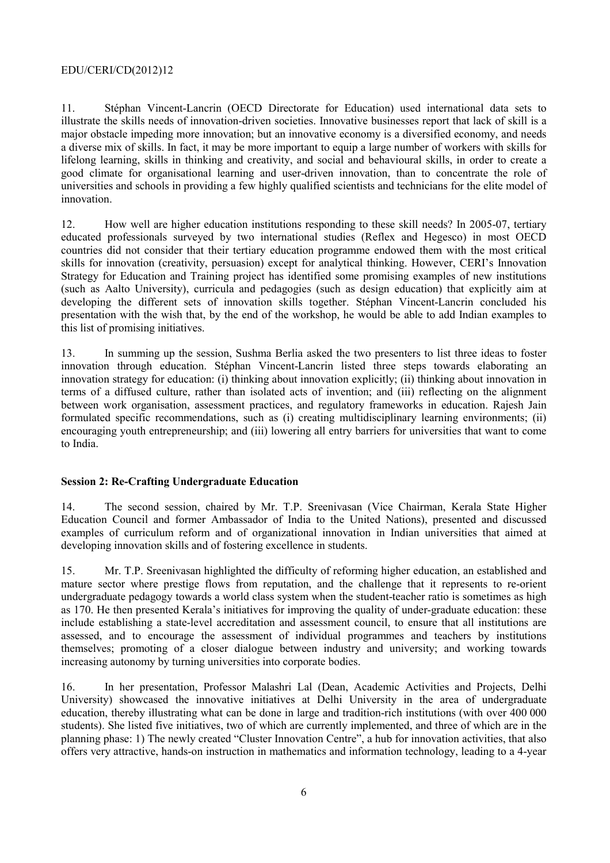11. Stéphan Vincent-Lancrin (OECD Directorate for Education) used international data sets to illustrate the skills needs of innovation-driven societies. Innovative businesses report that lack of skill is a major obstacle impeding more innovation; but an innovative economy is a diversified economy, and needs a diverse mix of skills. In fact, it may be more important to equip a large number of workers with skills for lifelong learning, skills in thinking and creativity, and social and behavioural skills, in order to create a good climate for organisational learning and user-driven innovation, than to concentrate the role of universities and schools in providing a few highly qualified scientists and technicians for the elite model of innovation.

12. How well are higher education institutions responding to these skill needs? In 2005-07, tertiary educated professionals surveyed by two international studies (Reflex and Hegesco) in most OECD countries did not consider that their tertiary education programme endowed them with the most critical skills for innovation (creativity, persuasion) except for analytical thinking. However, CERI's Innovation Strategy for Education and Training project has identified some promising examples of new institutions (such as Aalto University), curricula and pedagogies (such as design education) that explicitly aim at developing the different sets of innovation skills together. Stéphan Vincent-Lancrin concluded his presentation with the wish that, by the end of the workshop, he would be able to add Indian examples to this list of promising initiatives.

13. In summing up the session, Sushma Berlia asked the two presenters to list three ideas to foster innovation through education. Stéphan Vincent-Lancrin listed three steps towards elaborating an innovation strategy for education: (i) thinking about innovation explicitly; (ii) thinking about innovation in terms of a diffused culture, rather than isolated acts of invention; and (iii) reflecting on the alignment between work organisation, assessment practices, and regulatory frameworks in education. Rajesh Jain formulated specific recommendations, such as (i) creating multidisciplinary learning environments; (ii) encouraging youth entrepreneurship; and (iii) lowering all entry barriers for universities that want to come to India.

#### **Session 2: Re-Crafting Undergraduate Education**

14. The second session, chaired by Mr. T.P. Sreenivasan (Vice Chairman, Kerala State Higher Education Council and former Ambassador of India to the United Nations), presented and discussed examples of curriculum reform and of organizational innovation in Indian universities that aimed at developing innovation skills and of fostering excellence in students.

15. Mr. T.P. Sreenivasan highlighted the difficulty of reforming higher education, an established and mature sector where prestige flows from reputation, and the challenge that it represents to re-orient undergraduate pedagogy towards a world class system when the student-teacher ratio is sometimes as high as 170. He then presented Kerala's initiatives for improving the quality of under-graduate education: these include establishing a state-level accreditation and assessment council, to ensure that all institutions are assessed, and to encourage the assessment of individual programmes and teachers by institutions themselves; promoting of a closer dialogue between industry and university; and working towards increasing autonomy by turning universities into corporate bodies.

16. In her presentation, Professor Malashri Lal (Dean, Academic Activities and Projects, Delhi University) showcased the innovative initiatives at Delhi University in the area of undergraduate education, thereby illustrating what can be done in large and tradition-rich institutions (with over 400 000 students). She listed five initiatives, two of which are currently implemented, and three of which are in the planning phase: 1) The newly created "Cluster Innovation Centre", a hub for innovation activities, that also offers very attractive, hands-on instruction in mathematics and information technology, leading to a 4-year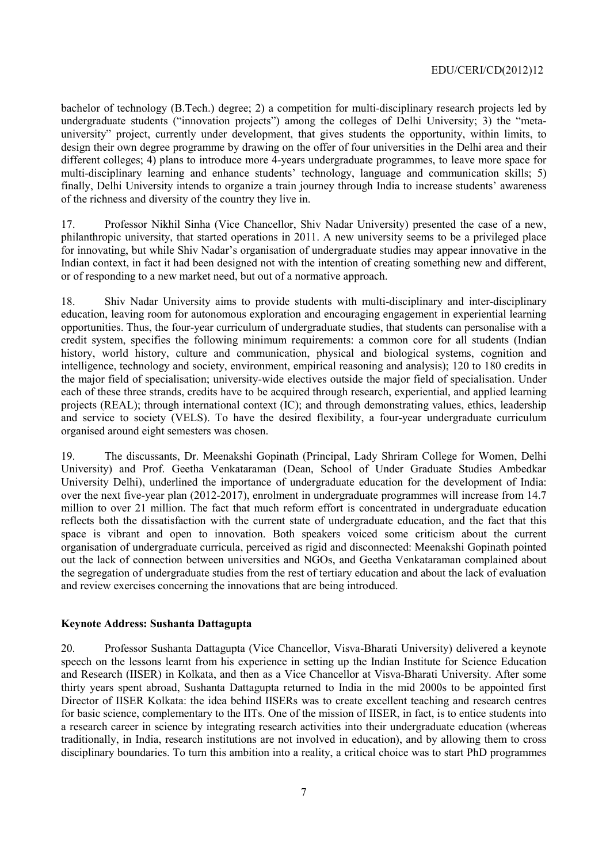bachelor of technology (B.Tech.) degree; 2) a competition for multi-disciplinary research projects led by undergraduate students ("innovation projects") among the colleges of Delhi University; 3) the "metauniversity" project, currently under development, that gives students the opportunity, within limits, to design their own degree programme by drawing on the offer of four universities in the Delhi area and their different colleges; 4) plans to introduce more 4-years undergraduate programmes, to leave more space for multi-disciplinary learning and enhance students' technology, language and communication skills; 5) finally, Delhi University intends to organize a train journey through India to increase students' awareness of the richness and diversity of the country they live in.

17. Professor Nikhil Sinha (Vice Chancellor, Shiv Nadar University) presented the case of a new, philanthropic university, that started operations in 2011. A new university seems to be a privileged place for innovating, but while Shiv Nadar's organisation of undergraduate studies may appear innovative in the Indian context, in fact it had been designed not with the intention of creating something new and different, or of responding to a new market need, but out of a normative approach.

18. Shiv Nadar University aims to provide students with multi-disciplinary and inter-disciplinary education, leaving room for autonomous exploration and encouraging engagement in experiential learning opportunities. Thus, the four-year curriculum of undergraduate studies, that students can personalise with a credit system, specifies the following minimum requirements: a common core for all students (Indian history, world history, culture and communication, physical and biological systems, cognition and intelligence, technology and society, environment, empirical reasoning and analysis); 120 to 180 credits in the major field of specialisation; university-wide electives outside the major field of specialisation. Under each of these three strands, credits have to be acquired through research, experiential, and applied learning projects (REAL); through international context (IC); and through demonstrating values, ethics, leadership and service to society (VELS). To have the desired flexibility, a four-year undergraduate curriculum organised around eight semesters was chosen.

19. The discussants, Dr. Meenakshi Gopinath (Principal, Lady Shriram College for Women, Delhi University) and Prof. Geetha Venkataraman (Dean, School of Under Graduate Studies Ambedkar University Delhi), underlined the importance of undergraduate education for the development of India: over the next five-year plan (2012-2017), enrolment in undergraduate programmes will increase from 14.7 million to over 21 million. The fact that much reform effort is concentrated in undergraduate education reflects both the dissatisfaction with the current state of undergraduate education, and the fact that this space is vibrant and open to innovation. Both speakers voiced some criticism about the current organisation of undergraduate curricula, perceived as rigid and disconnected: Meenakshi Gopinath pointed out the lack of connection between universities and NGOs, and Geetha Venkataraman complained about the segregation of undergraduate studies from the rest of tertiary education and about the lack of evaluation and review exercises concerning the innovations that are being introduced.

#### **Keynote Address: Sushanta Dattagupta**

20. Professor Sushanta Dattagupta (Vice Chancellor, Visva-Bharati University) delivered a keynote speech on the lessons learnt from his experience in setting up the Indian Institute for Science Education and Research (IISER) in Kolkata, and then as a Vice Chancellor at Visva-Bharati University. After some thirty years spent abroad, Sushanta Dattagupta returned to India in the mid 2000s to be appointed first Director of IISER Kolkata: the idea behind IISERs was to create excellent teaching and research centres for basic science, complementary to the IITs. One of the mission of IISER, in fact, is to entice students into a research career in science by integrating research activities into their undergraduate education (whereas traditionally, in India, research institutions are not involved in education), and by allowing them to cross disciplinary boundaries. To turn this ambition into a reality, a critical choice was to start PhD programmes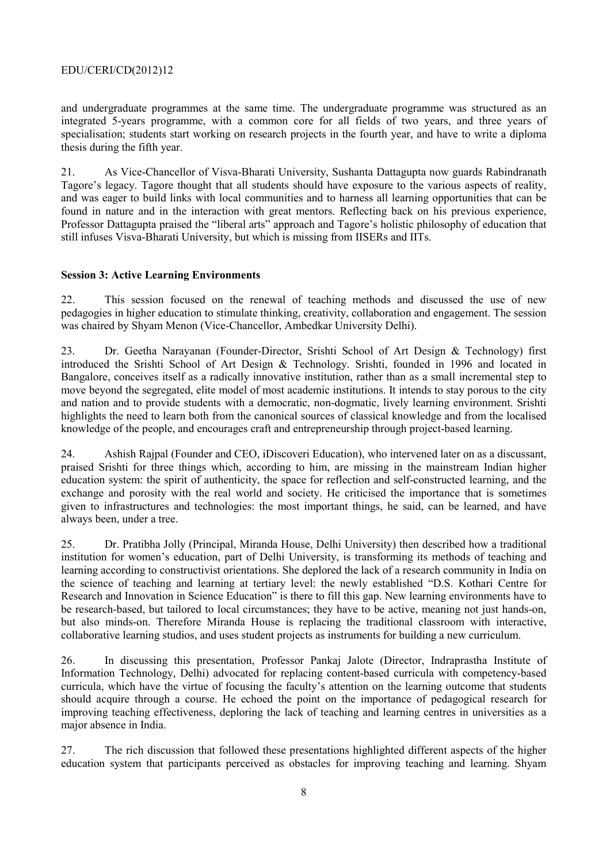and undergraduate programmes at the same time. The undergraduate programme was structured as an integrated 5-years programme, with a common core for all fields of two years, and three years of specialisation; students start working on research projects in the fourth year, and have to write a diploma thesis during the fifth year.

21. As Vice-Chancellor of Visva-Bharati University, Sushanta Dattagupta now guards Rabindranath Tagore's legacy. Tagore thought that all students should have exposure to the various aspects of reality, and was eager to build links with local communities and to harness all learning opportunities that can be found in nature and in the interaction with great mentors. Reflecting back on his previous experience, Professor Dattagupta praised the "liberal arts" approach and Tagore's holistic philosophy of education that still infuses Visva-Bharati University, but which is missing from IISERs and IITs.

#### **Session 3: Active Learning Environments**

22. This session focused on the renewal of teaching methods and discussed the use of new pedagogies in higher education to stimulate thinking, creativity, collaboration and engagement. The session was chaired by Shyam Menon (Vice-Chancellor, Ambedkar University Delhi).

23. Dr. Geetha Narayanan (Founder-Director, Srishti School of Art Design & Technology) first introduced the Srishti School of Art Design & Technology. Srishti, founded in 1996 and located in Bangalore, conceives itself as a radically innovative institution, rather than as a small incremental step to move beyond the segregated, elite model of most academic institutions. It intends to stay porous to the city and nation and to provide students with a democratic, non-dogmatic, lively learning environment. Srishti highlights the need to learn both from the canonical sources of classical knowledge and from the localised knowledge of the people, and encourages craft and entrepreneurship through project-based learning.

24. Ashish Rajpal (Founder and CEO, iDiscoveri Education), who intervened later on as a discussant, praised Srishti for three things which, according to him, are missing in the mainstream Indian higher education system: the spirit of authenticity, the space for reflection and self-constructed learning, and the exchange and porosity with the real world and society. He criticised the importance that is sometimes given to infrastructures and technologies: the most important things, he said, can be learned, and have always been, under a tree.

25. Dr. Pratibha Jolly (Principal, Miranda House, Delhi University) then described how a traditional institution for women's education, part of Delhi University, is transforming its methods of teaching and learning according to constructivist orientations. She deplored the lack of a research community in India on the science of teaching and learning at tertiary level: the newly established "D.S. Kothari Centre for Research and Innovation in Science Education" is there to fill this gap. New learning environments have to be research-based, but tailored to local circumstances; they have to be active, meaning not just hands-on, but also minds-on. Therefore Miranda House is replacing the traditional classroom with interactive, collaborative learning studios, and uses student projects as instruments for building a new curriculum.

26. In discussing this presentation, Professor Pankaj Jalote (Director, Indraprastha Institute of Information Technology, Delhi) advocated for replacing content-based curricula with competency-based curricula, which have the virtue of focusing the faculty's attention on the learning outcome that students should acquire through a course. He echoed the point on the importance of pedagogical research for improving teaching effectiveness, deploring the lack of teaching and learning centres in universities as a major absence in India.

27. The rich discussion that followed these presentations highlighted different aspects of the higher education system that participants perceived as obstacles for improving teaching and learning. Shyam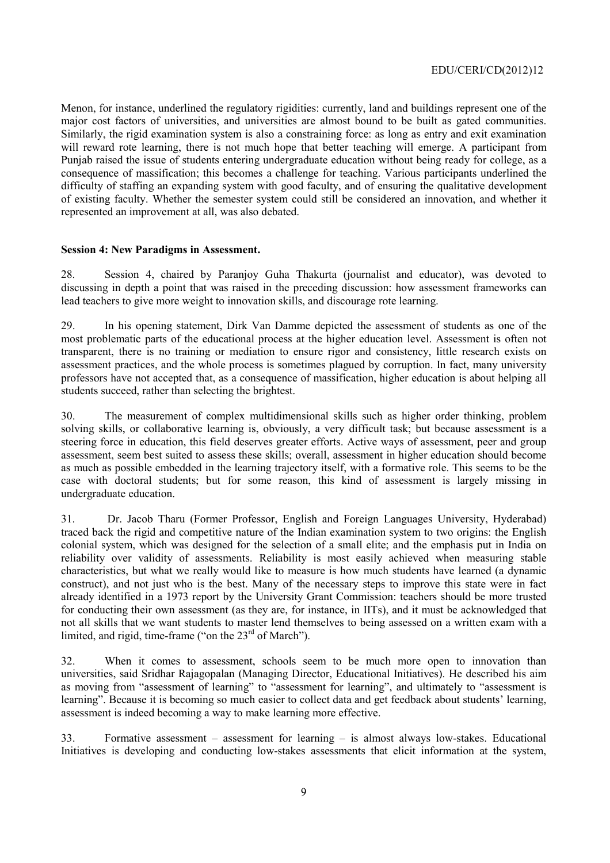Menon, for instance, underlined the regulatory rigidities: currently, land and buildings represent one of the major cost factors of universities, and universities are almost bound to be built as gated communities. Similarly, the rigid examination system is also a constraining force: as long as entry and exit examination will reward rote learning, there is not much hope that better teaching will emerge. A participant from Punjab raised the issue of students entering undergraduate education without being ready for college, as a consequence of massification; this becomes a challenge for teaching. Various participants underlined the difficulty of staffing an expanding system with good faculty, and of ensuring the qualitative development of existing faculty. Whether the semester system could still be considered an innovation, and whether it represented an improvement at all, was also debated.

#### **Session 4: New Paradigms in Assessment.**

28. Session 4, chaired by Paranjoy Guha Thakurta (journalist and educator), was devoted to discussing in depth a point that was raised in the preceding discussion: how assessment frameworks can lead teachers to give more weight to innovation skills, and discourage rote learning.

29. In his opening statement, Dirk Van Damme depicted the assessment of students as one of the most problematic parts of the educational process at the higher education level. Assessment is often not transparent, there is no training or mediation to ensure rigor and consistency, little research exists on assessment practices, and the whole process is sometimes plagued by corruption. In fact, many university professors have not accepted that, as a consequence of massification, higher education is about helping all students succeed, rather than selecting the brightest.

30. The measurement of complex multidimensional skills such as higher order thinking, problem solving skills, or collaborative learning is, obviously, a very difficult task; but because assessment is a steering force in education, this field deserves greater efforts. Active ways of assessment, peer and group assessment, seem best suited to assess these skills; overall, assessment in higher education should become as much as possible embedded in the learning trajectory itself, with a formative role. This seems to be the case with doctoral students; but for some reason, this kind of assessment is largely missing in undergraduate education.

31. Dr. Jacob Tharu (Former Professor, English and Foreign Languages University, Hyderabad) traced back the rigid and competitive nature of the Indian examination system to two origins: the English colonial system, which was designed for the selection of a small elite; and the emphasis put in India on reliability over validity of assessments. Reliability is most easily achieved when measuring stable characteristics, but what we really would like to measure is how much students have learned (a dynamic construct), and not just who is the best. Many of the necessary steps to improve this state were in fact already identified in a 1973 report by the University Grant Commission: teachers should be more trusted for conducting their own assessment (as they are, for instance, in IITs), and it must be acknowledged that not all skills that we want students to master lend themselves to being assessed on a written exam with a limited, and rigid, time-frame ("on the 23<sup>rd</sup> of March").

32. When it comes to assessment, schools seem to be much more open to innovation than universities, said Sridhar Rajagopalan (Managing Director, Educational Initiatives). He described his aim as moving from "assessment of learning" to "assessment for learning", and ultimately to "assessment is learning". Because it is becoming so much easier to collect data and get feedback about students' learning, assessment is indeed becoming a way to make learning more effective.

33. Formative assessment – assessment for learning – is almost always low-stakes. Educational Initiatives is developing and conducting low-stakes assessments that elicit information at the system,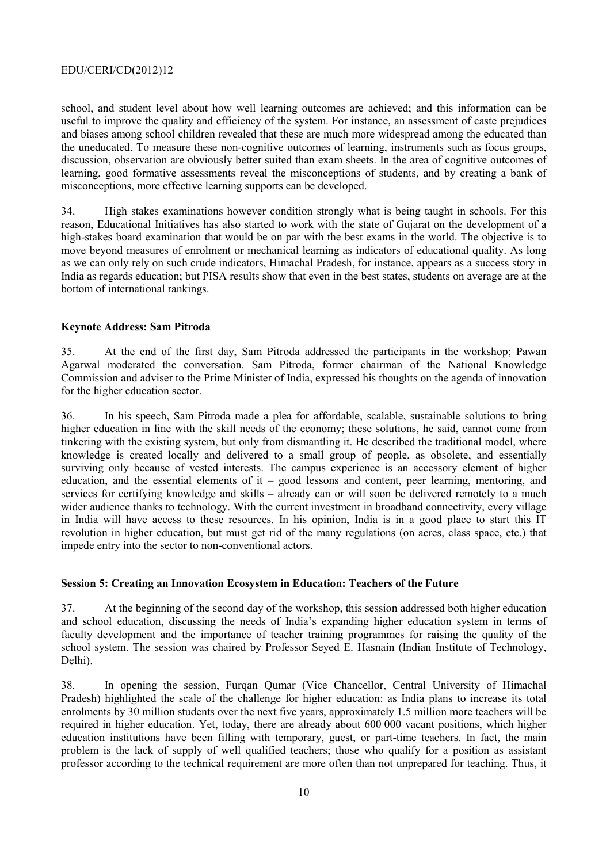school, and student level about how well learning outcomes are achieved; and this information can be useful to improve the quality and efficiency of the system. For instance, an assessment of caste prejudices and biases among school children revealed that these are much more widespread among the educated than the uneducated. To measure these non-cognitive outcomes of learning, instruments such as focus groups, discussion, observation are obviously better suited than exam sheets. In the area of cognitive outcomes of learning, good formative assessments reveal the misconceptions of students, and by creating a bank of misconceptions, more effective learning supports can be developed.

34. High stakes examinations however condition strongly what is being taught in schools. For this reason, Educational Initiatives has also started to work with the state of Gujarat on the development of a high-stakes board examination that would be on par with the best exams in the world. The objective is to move beyond measures of enrolment or mechanical learning as indicators of educational quality. As long as we can only rely on such crude indicators, Himachal Pradesh, for instance, appears as a success story in India as regards education; but PISA results show that even in the best states, students on average are at the bottom of international rankings.

#### **Keynote Address: Sam Pitroda**

35. At the end of the first day, Sam Pitroda addressed the participants in the workshop; Pawan Agarwal moderated the conversation. Sam Pitroda, former chairman of the National Knowledge Commission and adviser to the Prime Minister of India, expressed his thoughts on the agenda of innovation for the higher education sector.

36. In his speech, Sam Pitroda made a plea for affordable, scalable, sustainable solutions to bring higher education in line with the skill needs of the economy; these solutions, he said, cannot come from tinkering with the existing system, but only from dismantling it. He described the traditional model, where knowledge is created locally and delivered to a small group of people, as obsolete, and essentially surviving only because of vested interests. The campus experience is an accessory element of higher education, and the essential elements of it – good lessons and content, peer learning, mentoring, and services for certifying knowledge and skills – already can or will soon be delivered remotely to a much wider audience thanks to technology. With the current investment in broadband connectivity, every village in India will have access to these resources. In his opinion, India is in a good place to start this IT revolution in higher education, but must get rid of the many regulations (on acres, class space, etc.) that impede entry into the sector to non-conventional actors.

#### **Session 5: Creating an Innovation Ecosystem in Education: Teachers of the Future**

37. At the beginning of the second day of the workshop, this session addressed both higher education and school education, discussing the needs of India's expanding higher education system in terms of faculty development and the importance of teacher training programmes for raising the quality of the school system. The session was chaired by Professor Seyed E. Hasnain (Indian Institute of Technology, Delhi).

38. In opening the session, Furqan Qumar (Vice Chancellor, Central University of Himachal Pradesh) highlighted the scale of the challenge for higher education: as India plans to increase its total enrolments by 30 million students over the next five years, approximately 1.5 million more teachers will be required in higher education. Yet, today, there are already about 600 000 vacant positions, which higher education institutions have been filling with temporary, guest, or part-time teachers. In fact, the main problem is the lack of supply of well qualified teachers; those who qualify for a position as assistant professor according to the technical requirement are more often than not unprepared for teaching. Thus, it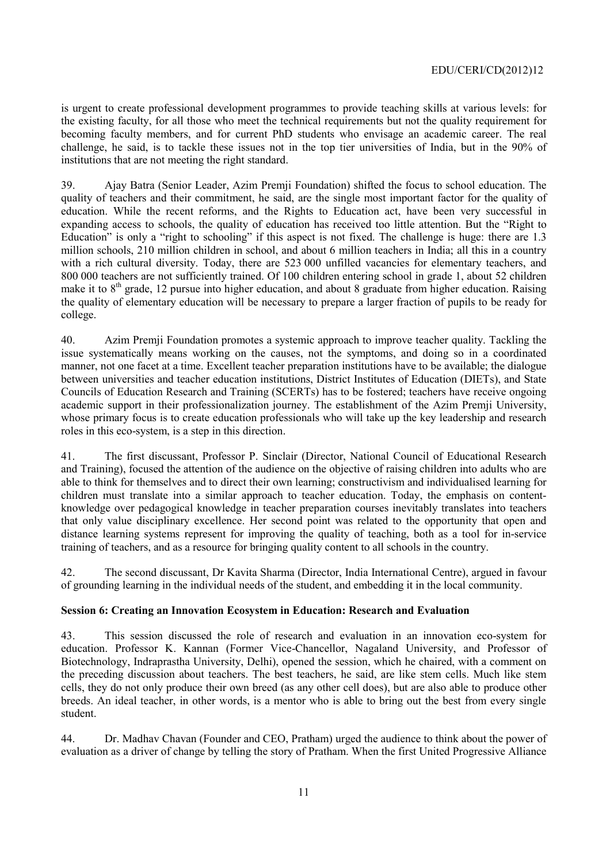is urgent to create professional development programmes to provide teaching skills at various levels: for the existing faculty, for all those who meet the technical requirements but not the quality requirement for becoming faculty members, and for current PhD students who envisage an academic career. The real challenge, he said, is to tackle these issues not in the top tier universities of India, but in the 90% of institutions that are not meeting the right standard.

39. Ajay Batra (Senior Leader, Azim Premji Foundation) shifted the focus to school education. The quality of teachers and their commitment, he said, are the single most important factor for the quality of education. While the recent reforms, and the Rights to Education act, have been very successful in expanding access to schools, the quality of education has received too little attention. But the "Right to Education" is only a "right to schooling" if this aspect is not fixed. The challenge is huge: there are 1.3 million schools, 210 million children in school, and about 6 million teachers in India; all this in a country with a rich cultural diversity. Today, there are 523 000 unfilled vacancies for elementary teachers, and 800 000 teachers are not sufficiently trained. Of 100 children entering school in grade 1, about 52 children make it to  $8<sup>th</sup>$  grade, 12 pursue into higher education, and about 8 graduate from higher education. Raising the quality of elementary education will be necessary to prepare a larger fraction of pupils to be ready for college.

40. Azim Premji Foundation promotes a systemic approach to improve teacher quality. Tackling the issue systematically means working on the causes, not the symptoms, and doing so in a coordinated manner, not one facet at a time. Excellent teacher preparation institutions have to be available; the dialogue between universities and teacher education institutions, District Institutes of Education (DIETs), and State Councils of Education Research and Training (SCERTs) has to be fostered; teachers have receive ongoing academic support in their professionalization journey. The establishment of the Azim Premji University, whose primary focus is to create education professionals who will take up the key leadership and research roles in this eco-system, is a step in this direction.

41. The first discussant, Professor P. Sinclair (Director, National Council of Educational Research and Training), focused the attention of the audience on the objective of raising children into adults who are able to think for themselves and to direct their own learning; constructivism and individualised learning for children must translate into a similar approach to teacher education. Today, the emphasis on contentknowledge over pedagogical knowledge in teacher preparation courses inevitably translates into teachers that only value disciplinary excellence. Her second point was related to the opportunity that open and distance learning systems represent for improving the quality of teaching, both as a tool for in-service training of teachers, and as a resource for bringing quality content to all schools in the country.

42. The second discussant, Dr Kavita Sharma (Director, India International Centre), argued in favour of grounding learning in the individual needs of the student, and embedding it in the local community.

#### **Session 6: Creating an Innovation Ecosystem in Education: Research and Evaluation**

43. This session discussed the role of research and evaluation in an innovation eco-system for education. Professor K. Kannan (Former Vice-Chancellor, Nagaland University, and Professor of Biotechnology, Indraprastha University, Delhi), opened the session, which he chaired, with a comment on the preceding discussion about teachers. The best teachers, he said, are like stem cells. Much like stem cells, they do not only produce their own breed (as any other cell does), but are also able to produce other breeds. An ideal teacher, in other words, is a mentor who is able to bring out the best from every single student.

44. Dr. Madhav Chavan (Founder and CEO, Pratham) urged the audience to think about the power of evaluation as a driver of change by telling the story of Pratham. When the first United Progressive Alliance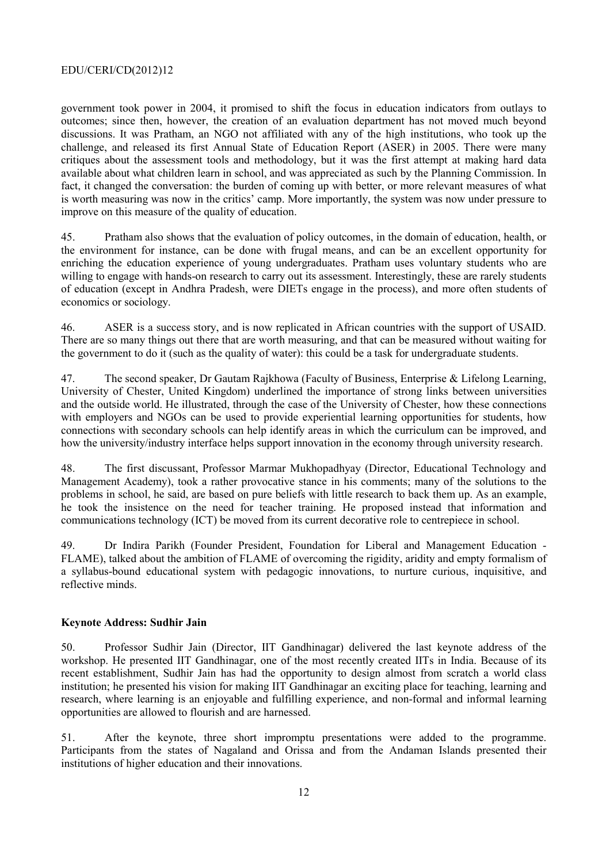government took power in 2004, it promised to shift the focus in education indicators from outlays to outcomes; since then, however, the creation of an evaluation department has not moved much beyond discussions. It was Pratham, an NGO not affiliated with any of the high institutions, who took up the challenge, and released its first Annual State of Education Report (ASER) in 2005. There were many critiques about the assessment tools and methodology, but it was the first attempt at making hard data available about what children learn in school, and was appreciated as such by the Planning Commission. In fact, it changed the conversation: the burden of coming up with better, or more relevant measures of what is worth measuring was now in the critics' camp. More importantly, the system was now under pressure to improve on this measure of the quality of education.

45. Pratham also shows that the evaluation of policy outcomes, in the domain of education, health, or the environment for instance, can be done with frugal means, and can be an excellent opportunity for enriching the education experience of young undergraduates. Pratham uses voluntary students who are willing to engage with hands-on research to carry out its assessment. Interestingly, these are rarely students of education (except in Andhra Pradesh, were DIETs engage in the process), and more often students of economics or sociology.

46. ASER is a success story, and is now replicated in African countries with the support of USAID. There are so many things out there that are worth measuring, and that can be measured without waiting for the government to do it (such as the quality of water): this could be a task for undergraduate students.

47. The second speaker, Dr Gautam Rajkhowa (Faculty of Business, Enterprise & Lifelong Learning, University of Chester, United Kingdom) underlined the importance of strong links between universities and the outside world. He illustrated, through the case of the University of Chester, how these connections with employers and NGOs can be used to provide experiential learning opportunities for students, how connections with secondary schools can help identify areas in which the curriculum can be improved, and how the university/industry interface helps support innovation in the economy through university research.

48. The first discussant, Professor Marmar Mukhopadhyay (Director, Educational Technology and Management Academy), took a rather provocative stance in his comments; many of the solutions to the problems in school, he said, are based on pure beliefs with little research to back them up. As an example, he took the insistence on the need for teacher training. He proposed instead that information and communications technology (ICT) be moved from its current decorative role to centrepiece in school.

49. Dr Indira Parikh (Founder President, Foundation for Liberal and Management Education - FLAME), talked about the ambition of FLAME of overcoming the rigidity, aridity and empty formalism of a syllabus-bound educational system with pedagogic innovations, to nurture curious, inquisitive, and reflective minds.

#### **Keynote Address: Sudhir Jain**

50. Professor Sudhir Jain (Director, IIT Gandhinagar) delivered the last keynote address of the workshop. He presented IIT Gandhinagar, one of the most recently created IITs in India. Because of its recent establishment, Sudhir Jain has had the opportunity to design almost from scratch a world class institution; he presented his vision for making IIT Gandhinagar an exciting place for teaching, learning and research, where learning is an enjoyable and fulfilling experience, and non-formal and informal learning opportunities are allowed to flourish and are harnessed.

51. After the keynote, three short impromptu presentations were added to the programme. Participants from the states of Nagaland and Orissa and from the Andaman Islands presented their institutions of higher education and their innovations.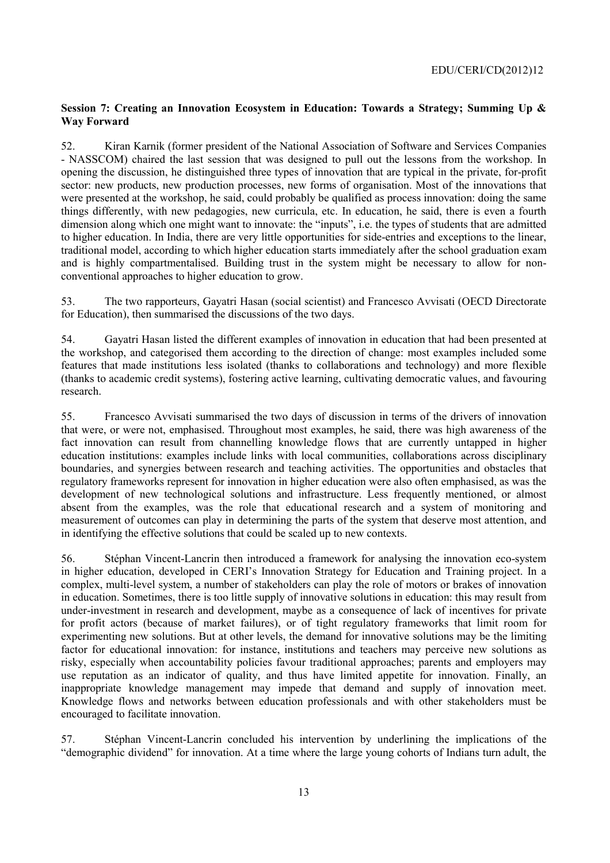#### **Session 7: Creating an Innovation Ecosystem in Education: Towards a Strategy; Summing Up & Way Forward**

52. Kiran Karnik (former president of the National Association of Software and Services Companies - NASSCOM) chaired the last session that was designed to pull out the lessons from the workshop. In opening the discussion, he distinguished three types of innovation that are typical in the private, for-profit sector: new products, new production processes, new forms of organisation. Most of the innovations that were presented at the workshop, he said, could probably be qualified as process innovation: doing the same things differently, with new pedagogies, new curricula, etc. In education, he said, there is even a fourth dimension along which one might want to innovate: the "inputs", i.e. the types of students that are admitted to higher education. In India, there are very little opportunities for side-entries and exceptions to the linear, traditional model, according to which higher education starts immediately after the school graduation exam and is highly compartmentalised. Building trust in the system might be necessary to allow for nonconventional approaches to higher education to grow.

53. The two rapporteurs, Gayatri Hasan (social scientist) and Francesco Avvisati (OECD Directorate for Education), then summarised the discussions of the two days.

54. Gayatri Hasan listed the different examples of innovation in education that had been presented at the workshop, and categorised them according to the direction of change: most examples included some features that made institutions less isolated (thanks to collaborations and technology) and more flexible (thanks to academic credit systems), fostering active learning, cultivating democratic values, and favouring research.

55. Francesco Avvisati summarised the two days of discussion in terms of the drivers of innovation that were, or were not, emphasised. Throughout most examples, he said, there was high awareness of the fact innovation can result from channelling knowledge flows that are currently untapped in higher education institutions: examples include links with local communities, collaborations across disciplinary boundaries, and synergies between research and teaching activities. The opportunities and obstacles that regulatory frameworks represent for innovation in higher education were also often emphasised, as was the development of new technological solutions and infrastructure. Less frequently mentioned, or almost absent from the examples, was the role that educational research and a system of monitoring and measurement of outcomes can play in determining the parts of the system that deserve most attention, and in identifying the effective solutions that could be scaled up to new contexts.

56. Stéphan Vincent-Lancrin then introduced a framework for analysing the innovation eco-system in higher education, developed in CERI's Innovation Strategy for Education and Training project. In a complex, multi-level system, a number of stakeholders can play the role of motors or brakes of innovation in education. Sometimes, there is too little supply of innovative solutions in education: this may result from under-investment in research and development, maybe as a consequence of lack of incentives for private for profit actors (because of market failures), or of tight regulatory frameworks that limit room for experimenting new solutions. But at other levels, the demand for innovative solutions may be the limiting factor for educational innovation: for instance, institutions and teachers may perceive new solutions as risky, especially when accountability policies favour traditional approaches; parents and employers may use reputation as an indicator of quality, and thus have limited appetite for innovation. Finally, an inappropriate knowledge management may impede that demand and supply of innovation meet. Knowledge flows and networks between education professionals and with other stakeholders must be encouraged to facilitate innovation.

57. Stéphan Vincent-Lancrin concluded his intervention by underlining the implications of the "demographic dividend" for innovation. At a time where the large young cohorts of Indians turn adult, the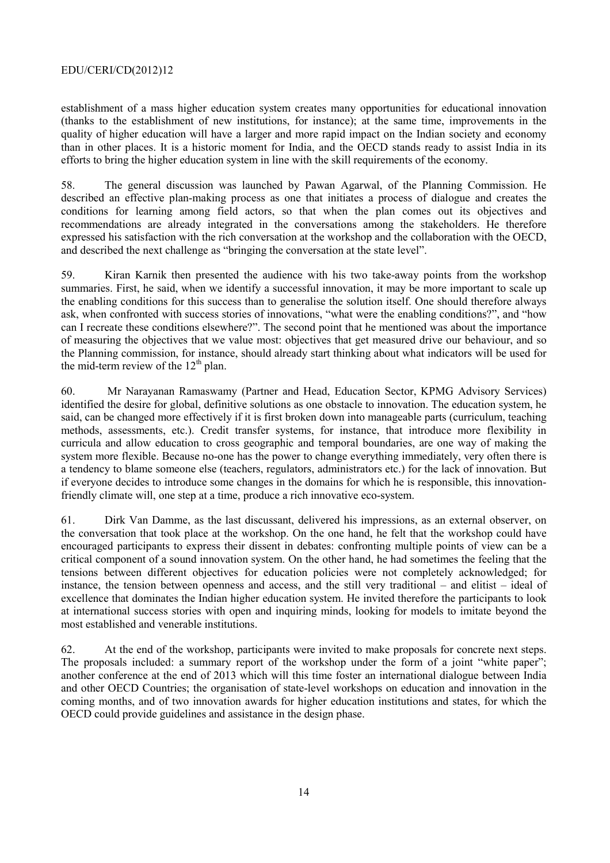establishment of a mass higher education system creates many opportunities for educational innovation (thanks to the establishment of new institutions, for instance); at the same time, improvements in the quality of higher education will have a larger and more rapid impact on the Indian society and economy than in other places. It is a historic moment for India, and the OECD stands ready to assist India in its efforts to bring the higher education system in line with the skill requirements of the economy.

58. The general discussion was launched by Pawan Agarwal, of the Planning Commission. He described an effective plan-making process as one that initiates a process of dialogue and creates the conditions for learning among field actors, so that when the plan comes out its objectives and recommendations are already integrated in the conversations among the stakeholders. He therefore expressed his satisfaction with the rich conversation at the workshop and the collaboration with the OECD, and described the next challenge as "bringing the conversation at the state level".

59. Kiran Karnik then presented the audience with his two take-away points from the workshop summaries. First, he said, when we identify a successful innovation, it may be more important to scale up the enabling conditions for this success than to generalise the solution itself. One should therefore always ask, when confronted with success stories of innovations, "what were the enabling conditions?", and "how can I recreate these conditions elsewhere?". The second point that he mentioned was about the importance of measuring the objectives that we value most: objectives that get measured drive our behaviour, and so the Planning commission, for instance, should already start thinking about what indicators will be used for the mid-term review of the  $12<sup>th</sup>$  plan.

60. Mr Narayanan Ramaswamy (Partner and Head, Education Sector, KPMG Advisory Services) identified the desire for global, definitive solutions as one obstacle to innovation. The education system, he said, can be changed more effectively if it is first broken down into manageable parts (curriculum, teaching methods, assessments, etc.). Credit transfer systems, for instance, that introduce more flexibility in curricula and allow education to cross geographic and temporal boundaries, are one way of making the system more flexible. Because no-one has the power to change everything immediately, very often there is a tendency to blame someone else (teachers, regulators, administrators etc.) for the lack of innovation. But if everyone decides to introduce some changes in the domains for which he is responsible, this innovationfriendly climate will, one step at a time, produce a rich innovative eco-system.

61. Dirk Van Damme, as the last discussant, delivered his impressions, as an external observer, on the conversation that took place at the workshop. On the one hand, he felt that the workshop could have encouraged participants to express their dissent in debates: confronting multiple points of view can be a critical component of a sound innovation system. On the other hand, he had sometimes the feeling that the tensions between different objectives for education policies were not completely acknowledged; for instance, the tension between openness and access, and the still very traditional – and elitist – ideal of excellence that dominates the Indian higher education system. He invited therefore the participants to look at international success stories with open and inquiring minds, looking for models to imitate beyond the most established and venerable institutions.

62. At the end of the workshop, participants were invited to make proposals for concrete next steps. The proposals included: a summary report of the workshop under the form of a joint "white paper"; another conference at the end of 2013 which will this time foster an international dialogue between India and other OECD Countries; the organisation of state-level workshops on education and innovation in the coming months, and of two innovation awards for higher education institutions and states, for which the OECD could provide guidelines and assistance in the design phase.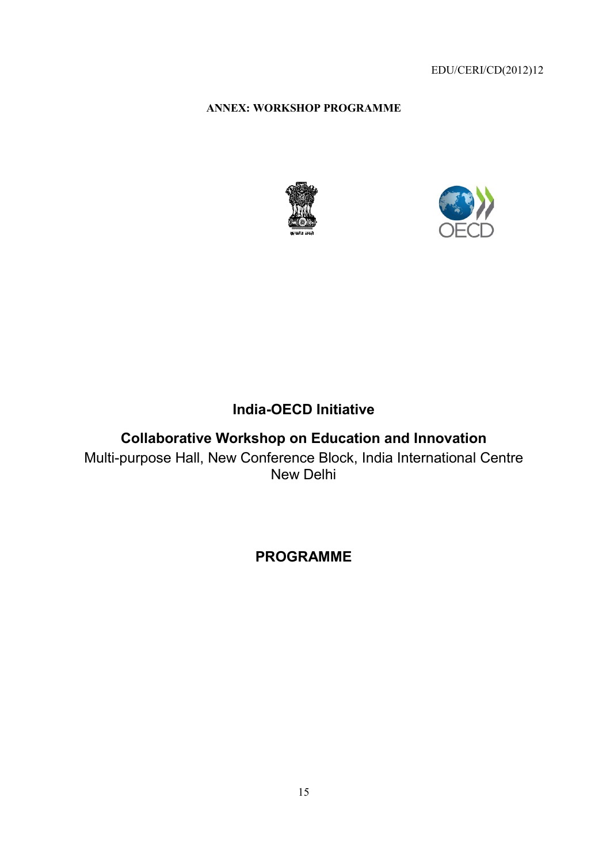**ANNEX X: WORKSHOP PROGRAMME** 





# **In ndia-OECD Initiative**

**Collaborative Workshop on Education and Innovation** Multi-purpose Hall, New Conference Block, India International Centre New Delhi

# **PROGRAMME**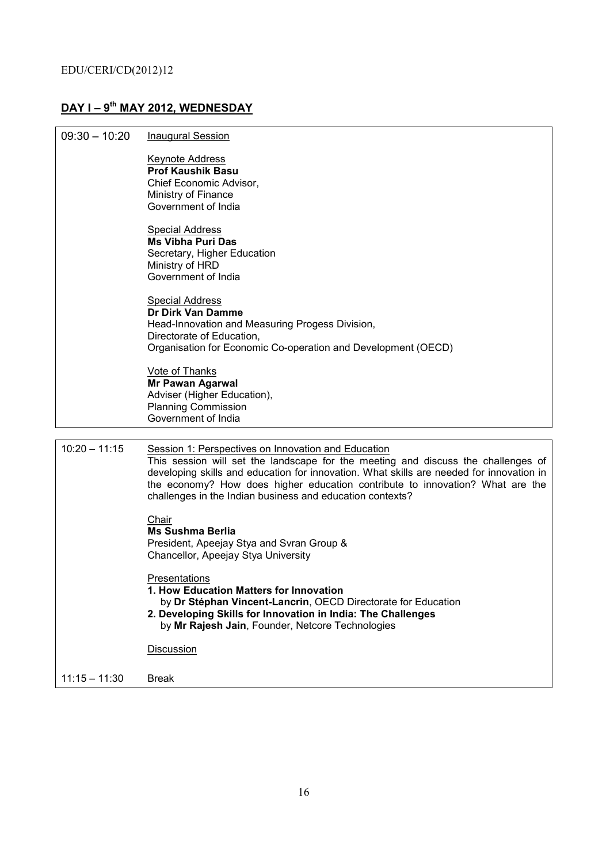## **DAY I – 9th MAY 2012, WEDNESDAY**

| $09:30 - 10:20$ | <b>Inaugural Session</b>                                                                                                                                                                                                                                                                                                                                                           |
|-----------------|------------------------------------------------------------------------------------------------------------------------------------------------------------------------------------------------------------------------------------------------------------------------------------------------------------------------------------------------------------------------------------|
|                 | <b>Keynote Address</b><br><b>Prof Kaushik Basu</b><br>Chief Economic Advisor,<br>Ministry of Finance<br>Government of India                                                                                                                                                                                                                                                        |
|                 | <b>Special Address</b><br><b>Ms Vibha Puri Das</b><br>Secretary, Higher Education<br>Ministry of HRD<br>Government of India                                                                                                                                                                                                                                                        |
|                 | <b>Special Address</b><br>Dr Dirk Van Damme<br>Head-Innovation and Measuring Progess Division,<br>Directorate of Education,<br>Organisation for Economic Co-operation and Development (OECD)                                                                                                                                                                                       |
|                 | Vote of Thanks<br><b>Mr Pawan Agarwal</b><br>Adviser (Higher Education),<br><b>Planning Commission</b><br>Government of India                                                                                                                                                                                                                                                      |
|                 |                                                                                                                                                                                                                                                                                                                                                                                    |
| $10:20 - 11:15$ | Session 1: Perspectives on Innovation and Education<br>This session will set the landscape for the meeting and discuss the challenges of<br>developing skills and education for innovation. What skills are needed for innovation in<br>the economy? How does higher education contribute to innovation? What are the<br>challenges in the Indian business and education contexts? |
|                 | Chair<br><b>Ms Sushma Berlia</b><br>President, Apeejay Stya and Svran Group &<br>Chancellor, Apeejay Stya University                                                                                                                                                                                                                                                               |
|                 | <b>Presentations</b><br>1. How Education Matters for Innovation<br>by Dr Stéphan Vincent-Lancrin, OECD Directorate for Education<br>2. Developing Skills for Innovation in India: The Challenges<br>by Mr Rajesh Jain, Founder, Netcore Technologies                                                                                                                               |
|                 | <b>Discussion</b>                                                                                                                                                                                                                                                                                                                                                                  |
| $11:15 - 11:30$ | <b>Break</b>                                                                                                                                                                                                                                                                                                                                                                       |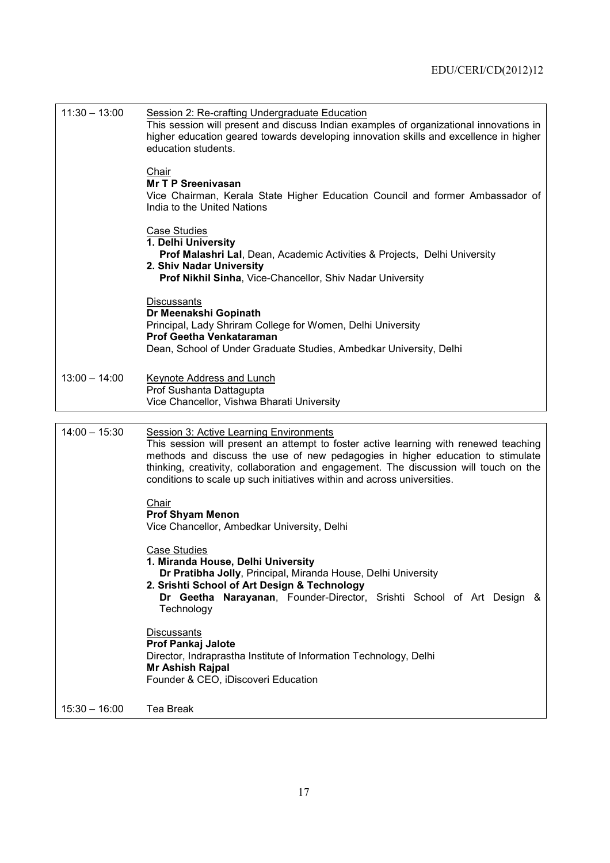| $11:30 - 13:00$ | Session 2: Re-crafting Undergraduate Education<br>This session will present and discuss Indian examples of organizational innovations in<br>higher education geared towards developing innovation skills and excellence in higher<br>education students.<br>Chair                                                                                                                           |
|-----------------|---------------------------------------------------------------------------------------------------------------------------------------------------------------------------------------------------------------------------------------------------------------------------------------------------------------------------------------------------------------------------------------------|
|                 | <b>Mr T P Sreenivasan</b><br>Vice Chairman, Kerala State Higher Education Council and former Ambassador of<br>India to the United Nations                                                                                                                                                                                                                                                   |
|                 | <b>Case Studies</b><br>1. Delhi University<br><b>Prof Malashri Lal, Dean, Academic Activities &amp; Projects, Delhi University</b><br>2. Shiv Nadar University<br>Prof Nikhil Sinha, Vice-Chancellor, Shiv Nadar University                                                                                                                                                                 |
|                 | <b>Discussants</b><br>Dr Meenakshi Gopinath<br>Principal, Lady Shriram College for Women, Delhi University<br><b>Prof Geetha Venkataraman</b><br>Dean, School of Under Graduate Studies, Ambedkar University, Delhi                                                                                                                                                                         |
| $13:00 - 14:00$ | <b>Keynote Address and Lunch</b><br>Prof Sushanta Dattagupta<br>Vice Chancellor, Vishwa Bharati University                                                                                                                                                                                                                                                                                  |
| $14:00 - 15:30$ | <b>Session 3: Active Learning Environments</b><br>This session will present an attempt to foster active learning with renewed teaching<br>methods and discuss the use of new pedagogies in higher education to stimulate<br>thinking, creativity, collaboration and engagement. The discussion will touch on the<br>conditions to scale up such initiatives within and across universities. |
|                 | Chair<br><b>Prof Shyam Menon</b><br>Vice Chancellor, Ambedkar University, Delhi                                                                                                                                                                                                                                                                                                             |
|                 | <b>Case Studies</b><br>1. Miranda House, Delhi University<br>Dr Pratibha Jolly, Principal, Miranda House, Delhi University<br>2. Srishti School of Art Design & Technology<br>Dr Geetha Narayanan, Founder-Director, Srishti School of Art Design &<br>Technology                                                                                                                           |
|                 | <b>Discussants</b><br><b>Prof Pankaj Jalote</b><br>Director, Indraprastha Institute of Information Technology, Delhi<br>Mr Ashish Rajpal<br>Founder & CEO, iDiscoveri Education                                                                                                                                                                                                             |
| $15:30 - 16:00$ | Tea Break                                                                                                                                                                                                                                                                                                                                                                                   |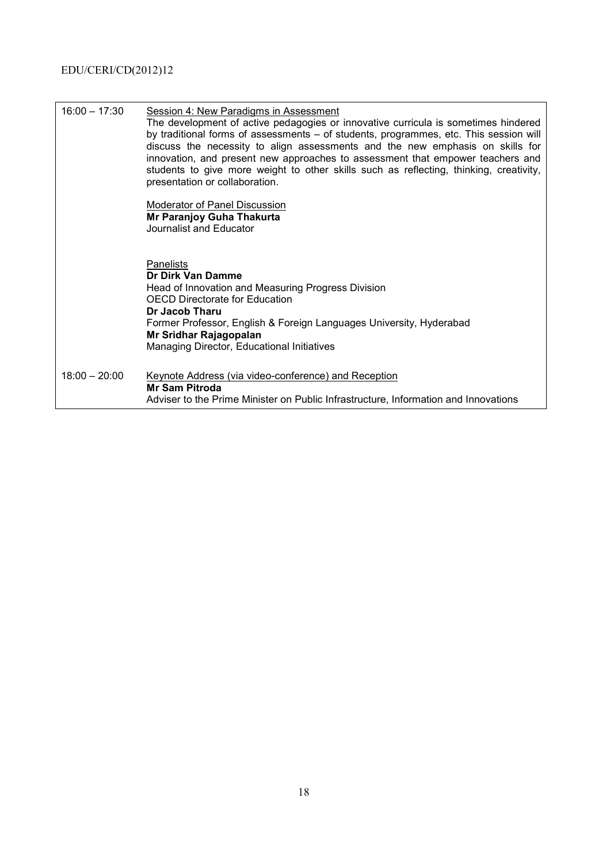| $16:00 - 17:30$ | Session 4: New Paradigms in Assessment<br>The development of active pedagogies or innovative curricula is sometimes hindered<br>by traditional forms of assessments - of students, programmes, etc. This session will<br>discuss the necessity to align assessments and the new emphasis on skills for<br>innovation, and present new approaches to assessment that empower teachers and<br>students to give more weight to other skills such as reflecting, thinking, creativity,<br>presentation or collaboration.<br>Moderator of Panel Discussion<br>Mr Paranjoy Guha Thakurta<br>Journalist and Educator |
|-----------------|---------------------------------------------------------------------------------------------------------------------------------------------------------------------------------------------------------------------------------------------------------------------------------------------------------------------------------------------------------------------------------------------------------------------------------------------------------------------------------------------------------------------------------------------------------------------------------------------------------------|
|                 | <b>Panelists</b><br>Dr Dirk Van Damme<br>Head of Innovation and Measuring Progress Division<br><b>OECD Directorate for Education</b><br>Dr Jacob Tharu<br>Former Professor, English & Foreign Languages University, Hyderabad<br>Mr Sridhar Rajagopalan<br>Managing Director, Educational Initiatives                                                                                                                                                                                                                                                                                                         |
| $18:00 - 20:00$ | Keynote Address (via video-conference) and Reception<br><b>Mr Sam Pitroda</b><br>Adviser to the Prime Minister on Public Infrastructure, Information and Innovations                                                                                                                                                                                                                                                                                                                                                                                                                                          |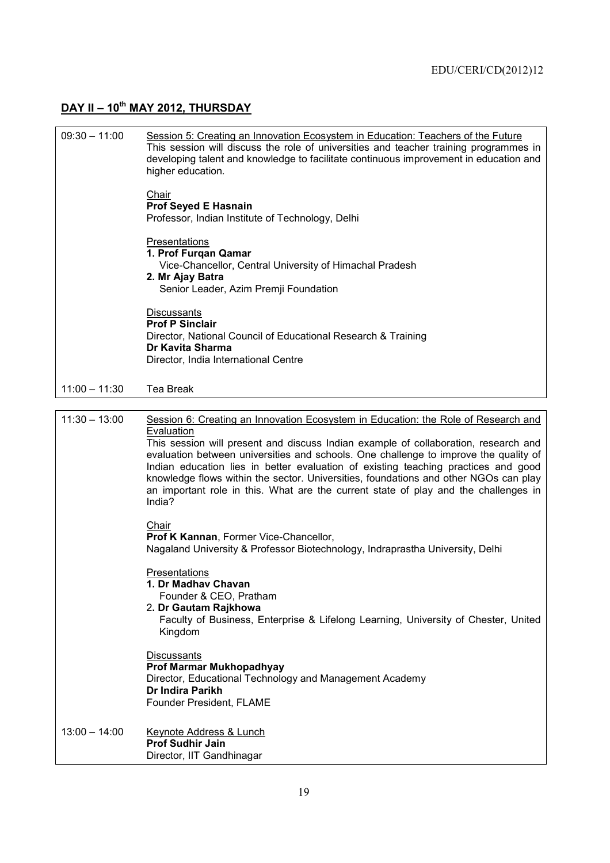## **DAY II – 10th MAY 2012, THURSDAY**

| $09:30 - 11:00$ | Session 5: Creating an Innovation Ecosystem in Education: Teachers of the Future<br>This session will discuss the role of universities and teacher training programmes in<br>developing talent and knowledge to facilitate continuous improvement in education and<br>higher education.<br>Chair<br><b>Prof Seyed E Hasnain</b><br>Professor, Indian Institute of Technology, Delhi<br>Presentations<br>1. Prof Furgan Qamar<br>Vice-Chancellor, Central University of Himachal Pradesh<br>2. Mr Ajay Batra<br>Senior Leader, Azim Premji Foundation<br><b>Discussants</b><br><b>Prof P Sinclair</b><br>Director, National Council of Educational Research & Training<br>Dr Kavita Sharma<br>Director, India International Centre |
|-----------------|-----------------------------------------------------------------------------------------------------------------------------------------------------------------------------------------------------------------------------------------------------------------------------------------------------------------------------------------------------------------------------------------------------------------------------------------------------------------------------------------------------------------------------------------------------------------------------------------------------------------------------------------------------------------------------------------------------------------------------------|
| $11:00 - 11:30$ | Tea Break                                                                                                                                                                                                                                                                                                                                                                                                                                                                                                                                                                                                                                                                                                                         |
|                 |                                                                                                                                                                                                                                                                                                                                                                                                                                                                                                                                                                                                                                                                                                                                   |
| $11:30 - 13:00$ | Session 6: Creating an Innovation Ecosystem in Education: the Role of Research and<br>Evaluation<br>This session will present and discuss Indian example of collaboration, research and<br>evaluation between universities and schools. One challenge to improve the quality of<br>Indian education lies in better evaluation of existing teaching practices and good<br>knowledge flows within the sector. Universities, foundations and other NGOs can play<br>an important role in this. What are the current state of play and the challenges in<br>India?                                                                                                                                                                    |
|                 | Chair<br>Prof K Kannan, Former Vice-Chancellor,<br>Nagaland University & Professor Biotechnology, Indraprastha University, Delhi                                                                                                                                                                                                                                                                                                                                                                                                                                                                                                                                                                                                  |
|                 | Presentations<br>1. Dr Madhav Chavan<br>Founder & CEO, Pratham<br>2. Dr Gautam Rajkhowa<br>Faculty of Business, Enterprise & Lifelong Learning, University of Chester, United<br>Kingdom                                                                                                                                                                                                                                                                                                                                                                                                                                                                                                                                          |
|                 | <b>Discussants</b><br><b>Prof Marmar Mukhopadhyay</b><br>Director, Educational Technology and Management Academy<br>Dr Indira Parikh<br>Founder President, FLAME                                                                                                                                                                                                                                                                                                                                                                                                                                                                                                                                                                  |
| $13:00 - 14:00$ | <b>Keynote Address &amp; Lunch</b><br><b>Prof Sudhir Jain</b><br>Director, IIT Gandhinagar                                                                                                                                                                                                                                                                                                                                                                                                                                                                                                                                                                                                                                        |